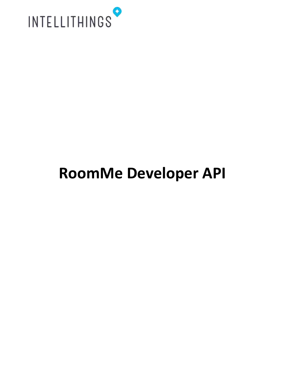

## **RoomMe Developer API**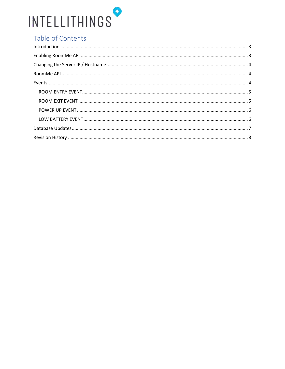# INTELLITHINGS

### Table of Contents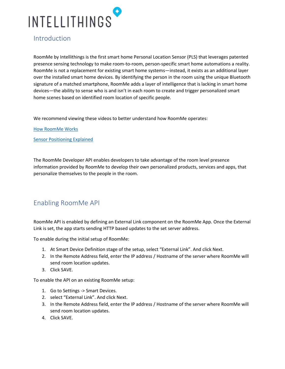

#### <span id="page-2-0"></span>Introduction

RoomMe by Intellithings is the first smart home Personal Location Sensor (PLS) that leverages patented presence sensing technology to make room-to-room, person-specific smart home automations a reality. RoomMe is not a replacement for existing smart home systems—instead, it exists as an additional layer over the installed smart home devices. By identifying the person in the room using the unique Bluetooth signature of a matched smartphone, RoomMe adds a layer of intelligence that is lacking in smart home devices—the ability to sense who is and isn't in each room to create and trigger personalized smart home scenes based on identified room location of specific people.

We recommend viewing these videos to better understand how RoomMe operates:

[How RoomMe Works](https://youtu.be/ID-5_H2XQlA)

[Sensor Positioning Explained](https://youtu.be/HwaCzxzPQKY)

The RoomMe Developer API enables developers to take advantage of the room level presence information provided by RoomMe to develop their own personalized products, services and apps, that personalize themselves to the people in the room.

#### <span id="page-2-1"></span>Enabling RoomMe API

RoomMe API is enabled by defining an External Link component on the RoomMe App. Once the External Link is set, the app starts sending HTTP based updates to the set server address.

To enable during the initial setup of RoomMe:

- 1. At Smart Device Definition stage of the setup, select "External Link". And click Next.
- 2. In the Remote Address field, enter the IP address / Hostname of the server where RoomMe will send room location updates.
- 3. Click SAVE.

To enable the API on an existing RoomMe setup:

- 1. Go to Settings -> Smart Devices.
- 2. select "External Link". And click Next.
- 3. In the Remote Address field, enter the IP address / Hostname of the server where RoomMe will send room location updates.
- 4. Click SAVE.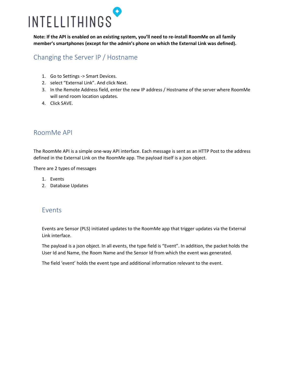# INTELLITHINGS

**Note: If the API is enabled on an existing system, you'll need to re-install RoomMe on all family member's smartphones (except for the admin's phone on which the External Link was defined).**

#### <span id="page-3-0"></span>Changing the Server IP / Hostname

- 1. Go to Settings -> Smart Devices.
- 2. select "External Link". And click Next.
- 3. In the Remote Address field, enter the new IP address / Hostname of the server where RoomMe will send room location updates.
- 4. Click SAVE.

#### <span id="page-3-1"></span>RoomMe API

The RoomMe API is a simple one-way API interface. Each message is sent as an HTTP Post to the address defined in the External Link on the RoomMe app. The payload itself is a json object.

There are 2 types of messages

- 1. Events
- 2. Database Updates

#### <span id="page-3-2"></span>Events

Events are Sensor (PLS) initiated updates to the RoomMe app that trigger updates via the External Link interface.

The payload is a json object. In all events, the type field is "Event". In addition, the packet holds the User Id and Name, the Room Name and the Sensor Id from which the event was generated.

The field 'event' holds the event type and additional information relevant to the event.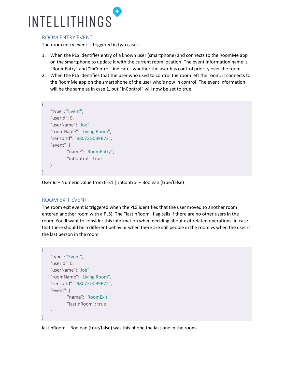

#### <span id="page-4-0"></span>ROOM ENTRY EVENT

The room entry event is triggered in two cases:

- 1. When the PLS identifies entry of a known user (smartphone) and connects to the RoomMe app on the smartphone to update it with the current room location. The event information name is "RoomEntry" and "InControl" indicates whether the user has control priority over the room.
- 2. When the PLS identifies that the user who used to control the room left the room, it connects to the RoomMe app on the smartphone of the user who's now in control. The event information will be the same as in case 1, but "InControl" will now be set to true.

```
{
   "type": "Event",
   "userId": 0,
   "userName": "Joe",
   "roomName": "Living Room",
   "sensorId": "98072D0B9B72",
   "event": {
           "name": "RoomEntry",
           "inControl": true
   }
}
```
User Id – Numeric value from 0-31 | inControl – Boolean (true/false)

#### <span id="page-4-1"></span>ROOM EXIT EVENT

{

}

The room exit event is triggered when the PLS identifies that the user moved to another room entered another room with a PLS). The "lastInRoom" flag tells if there are no other users in the room. You'll want to consider this information when deciding about exit related operations, in case that there should be a different behavior when there are still people in the room vs when the user is the last person in the room.

```
"type": "Event",
"userId": 0,
"userName": "Joe",
"roomName": "Living Room",
"sensorId": "98072D0B9B72",
"event": {
       "name": "RoomExit",
       "lastInRoom": true
}
```
lastInRoom – Boolean (true/false) was this phone the last one in the room.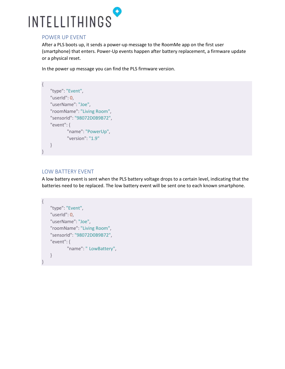

#### <span id="page-5-0"></span>POWER UP EVENT

After a PLS boots up, it sends a power-up message to the RoomMe app on the first user (smartphone) that enters. Power-Up events happen after battery replacement, a firmware update or a physical reset.

In the power up message you can find the PLS firmware version.

```
{
   "type": "Event",
   "userId": 0,
   "userName": "Joe",
   "roomName": "Living Room",
   "sensorId": "98072D0B9B72",
   "event": {
           "name": "PowerUp",
           "version": "1.9"
   }
}
```
#### <span id="page-5-1"></span>LOW BATTERY EVENT

A low battery event is sent when the PLS battery voltage drops to a certain level, indicating that the batteries need to be replaced. The low battery event will be sent one to each known smartphone.

```
{
   "type": "Event",
   "userId": 0,
   "userName": "Joe",
   "roomName": "Living Room",
   "sensorId": "98072D0B9B72",
   "event": {
           "name": " LowBattery",
   }
}
```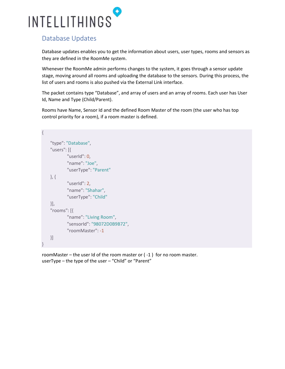

#### <span id="page-6-0"></span>Database Updates

Database updates enables you to get the information about users, user types, rooms and sensors as they are defined in the RoomMe system.

Whenever the RoomMe admin performs changes to the system, it goes through a sensor update stage, moving around all rooms and uploading the database to the sensors. During this process, the list of users and rooms is also pushed via the External Link interface.

The packet contains type "Database", and array of users and an array of rooms. Each user has User Id, Name and Type (Child/Parent).

Rooms have Name, Sensor Id and the defined Room Master of the room (the user who has top control priority for a room), if a room master is defined.

```
{
    "type": "Database",
    "users": [{
            "userId": 0,
           "name": "Joe",
            "userType": "Parent"
   }, {
           "userId": 2,
            "name": "Shahar",
            "userType": "Child"
   }],
   "rooms": [{
            "name": "Living Room",
            "sensorId": "98072D0B9B72",
            "roomMaster": -1
   }]
}
```
roomMaster – the user Id of the room master or ( -1 ) for no room master. userType – the type of the user – "Child" or "Parent"